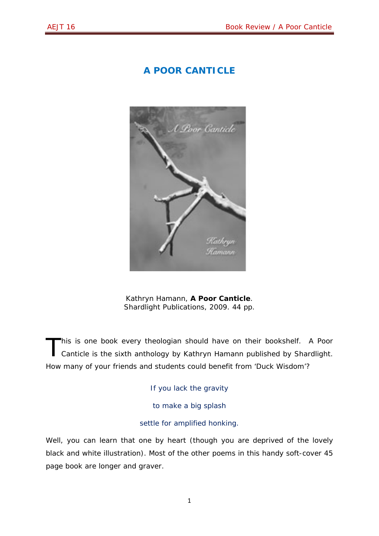## **A POOR CANTICLE**



Kathryn Hamann, *A Poor Canticle*. Shardlight Publications, 2009. 44 pp.

his is one book every theologian should have on their bookshelf. *A Poor Canticle* is the sixth anthology by Kathryn Hamann published by Shardlight. How many of your friends and students could benefit from 'Duck Wisdom'? T

If you lack the gravity

to make a big splash

settle for amplified honking.

Well, you can learn that one by heart (though you are deprived of the lovely black and white illustration). Most of the other poems in this handy soft-cover 45 page book are longer and graver.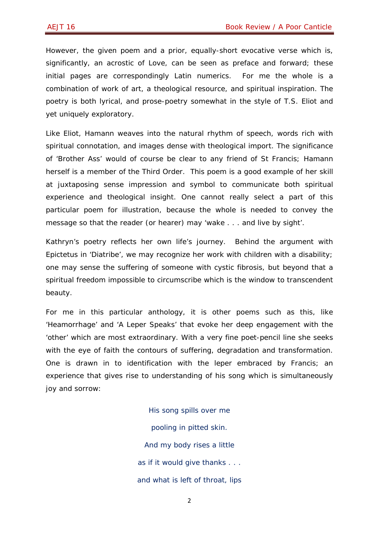However, the given poem and a prior, equally-short evocative verse which is, significantly, an acrostic of Love, can be seen as preface and forward; these initial pages are correspondingly Latin numerics. For me the whole is a combination of work of art, a theological resource, and spiritual inspiration. The poetry is both lyrical, and prose-poetry somewhat in the style of T.S. Eliot and yet uniquely exploratory.

Like Eliot, Hamann weaves into the natural rhythm of speech, words rich with spiritual connotation, and images dense with theological import. The significance of 'Brother Ass' would of course be clear to any friend of St Francis; Hamann herself is a member of the Third Order. This poem is a good example of her skill at juxtaposing sense impression and symbol to communicate both spiritual experience and theological insight. One cannot really select a part of this particular poem for illustration, because the whole is needed to convey the message so that the reader (or hearer) may 'wake . . . and live by sight'.

Kathryn's poetry reflects her own life's journey. Behind the argument with Epictetus in Diatribe', we may recognize her work with children with a disability; one may sense the suffering of someone with cystic fibrosis, but beyond that a spiritual freedom impossible to circumscribe which is the window to transcendent beauty.

For me in this particular anthology, it is other poems such as this, like 'Heamorrhage' and 'A Leper Speaks' that evoke her deep engagement with the 'other' which are most extraordinary. With a very fine poet-pencil line she seeks with the eye of faith the contours of suffering, degradation and transformation. One is drawn in to identification with the leper embraced by Francis; an experience that gives rise to understanding of his song which is simultaneously joy and sorrow:

> His song spills over me pooling in pitted skin. And my body rises a little as if it would give thanks . . . and what is left of throat, lips

> > 2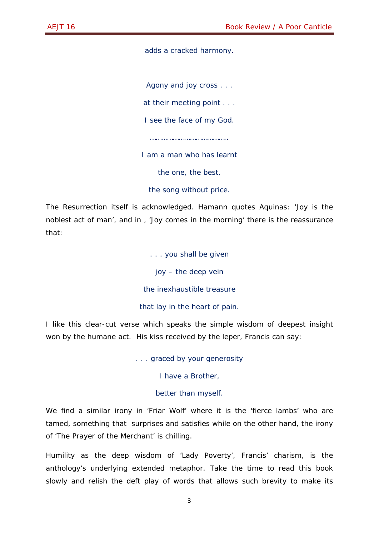adds a cracked harmony.

Agony and joy cross . . .

at their meeting point . . .

I see the face of my God.

…………………………………..

I am a man who has learnt

the one, the best,

the song without price.

The Resurrection itself is acknowledged. Hamann quotes Aquinas: 'Joy is the noblest act of man', and in , 'Joy comes in the morning' there is the reassurance that:

> . . . you shall be given joy – the deep vein the inexhaustible treasure that lay in the heart of pain.

I like this clear-cut verse which speaks the simple wisdom of deepest insight won by the humane act. His kiss received by the leper, Francis can say:

. . . graced by your generosity

I have a Brother,

## better than myself.

We find a similar irony in 'Friar Wolf' where it is the 'fierce lambs' who are tamed, something that surprises and satisfies while on the other hand, the irony of 'The Prayer of the Merchant' is chilling.

Humility as the deep wisdom of 'Lady Poverty', Francis' charism, is the anthology's underlying extended metaphor. Take the time to read this book slowly and relish the deft play of words that allows such brevity to make its

3